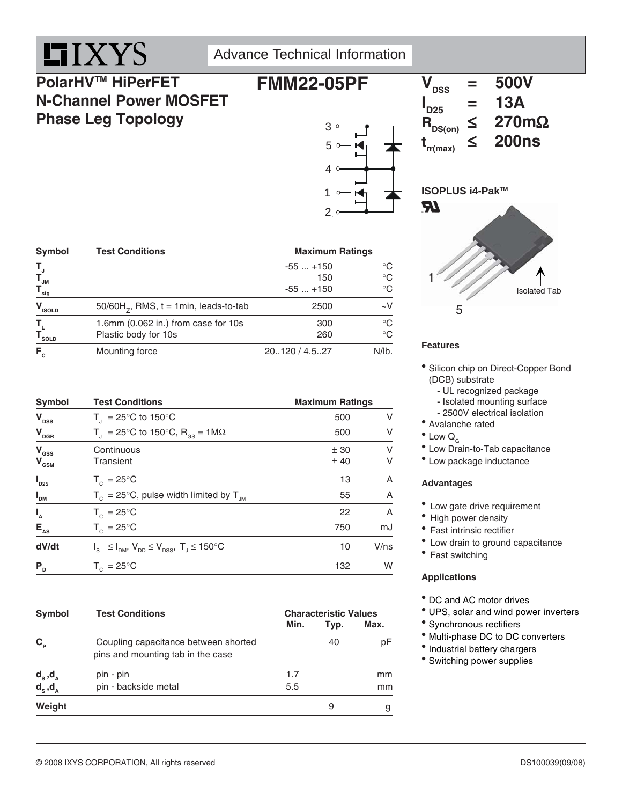

Advance Technical Information

### **PolarHVTM HiPerFET N-Channel Power MOSFET Phase Leg Topology**



#### Symbol Test Conditions **Maximum Ratings TJ** -55 ... +150 °C  $\mathbf{T}_{\mathsf{J}\mathsf{M}}$  150  $^{\circ}\mathsf{C}$  $\mathsf{T}_{\mathsf{stg}}$  -55 ... +150  $^\circ\mathrm{C}$  $V_{\text{isolp}}$  50/60H<sub>z</sub>, RMS, t = 1min, leads-to-tab 2500  $-V$ **T<sub>L</sub>** 1.6mm (0.062 in.) from case for 10s 300 °C<br> **T**<sub>sor D</sub> Plastic body for 10s 260 °C Plastic body for 10s **F**<sub>c</sub> Mounting force 20..120 / 4.5..27 N/lb.

| <b>Symbol</b>                               | <b>Test Conditions</b>                                              |             | <b>Maximum Ratings</b> |  |  |  |
|---------------------------------------------|---------------------------------------------------------------------|-------------|------------------------|--|--|--|
| $V_{\text{DSS}}$                            | $T_{1}$ = 25°C to 150°C                                             | 500         | V                      |  |  |  |
| $V_{\text{DGR}}$                            | $T_{\text{I}}$ = 25°C to 150°C, R <sub>os</sub> = 1M $\Omega$       | 500         | V                      |  |  |  |
| $V_{\text{GSS}}$<br>$V_{\text{\tiny{GSM}}}$ | Continuous<br>Transient                                             | ± 30<br>±40 | V<br>V                 |  |  |  |
| $\boldsymbol{I}_{D25}$                      | $T_c = 25^{\circ}$ C                                                | 13          | A                      |  |  |  |
| $I_{DM}$                                    | $T_c = 25^{\circ}$ C, pulse width limited by $T_{JM}$               | 55          | A                      |  |  |  |
| $I_{A}$                                     | $T_c = 25^{\circ}$ C                                                | 22          | A                      |  |  |  |
| $E_{AS}$                                    | $T_c = 25^{\circ}C$                                                 | 750         | mJ                     |  |  |  |
| dV/dt                                       | $I_s \leq I_{DM}$ , $V_{DD} \leq V_{DSS}$ , $T_s \leq 150^{\circ}C$ | 10          | $V$ /ns                |  |  |  |
| P <sub>D</sub>                              | $T_c = 25^{\circ}$ C                                                | 132         | W                      |  |  |  |

| <b>Symbol</b>     | <b>Test Conditions</b>                                                    | Min. | <b>Characteristic Values</b><br>Max.<br>Typ. |    |  |
|-------------------|---------------------------------------------------------------------------|------|----------------------------------------------|----|--|
| $C_{\rm p}$       | Coupling capacitance between shorted<br>pins and mounting tab in the case |      | 40                                           | pF |  |
| $d_{s}$ , $d_{A}$ | pin - pin                                                                 | 1.7  |                                              | mm |  |
| $d_s, d_a$        | pin - backside metal                                                      | 5.5  |                                              | mm |  |
| Weight            |                                                                           |      | 9                                            | g  |  |

## $t_{rr(max)} \leq 200$ ns **ISOPLUS i4-PakTM RI** 1 Isolated Tab

 $V_{\text{rec}}$  = 500V

 $= 13A$ <br> $\leq 270 \text{m}\Omega$ 

**I**<sub>D25</sub>

 $R_{DS(on)}$ 

5

#### **Features**

- Silicon chip on Direct-Copper Bond (DCB) substrate
	- UL recognized package
	- Isolated mounting surface
	- 2500V electrical isolation
- Avalanche rated
- $^{\bullet}$  Low  $Q_{c}$
- Low Drain-to-Tab capacitance
- Low package inductance

#### **Advantages**

- Low gate drive requirement
- High power density
- Fast intrinsic rectifier
- Low drain to ground capacitance
- Fast switching

#### **Applications**

- DC and AC motor drives
- UPS, solar and wind power inverters
- Synchronous rectifiers
- $^{\bullet}$  Multi-phase DC to DC converters
- Industrial battery chargers
- Switching power supplies